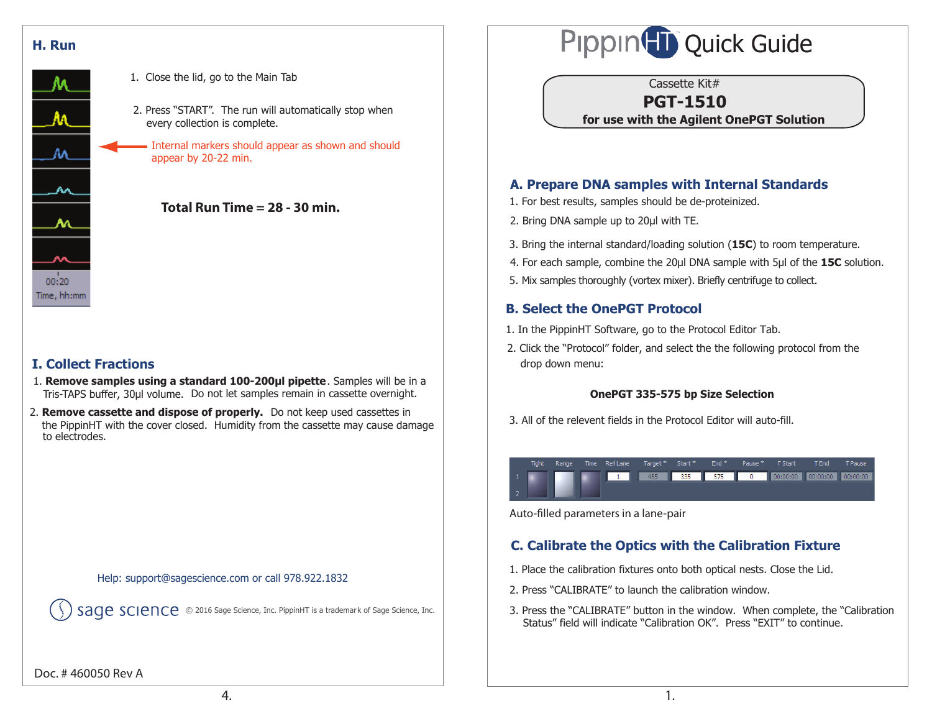



- 1. Close the lid, go to the Main Tab
- 2. Press "START". The run will automatically stop when every collection is complete.

Internal markers should appear as shown and should appear by 20-22 min.



## **I. Collect Fractions**

- Tris-TAPS buffer, 30µl volume. Do not let samples remain in cassette overnight. 1. **Remove samples using a standard 100-200µl pipette**. Samples will be in a
- 2. **Remove cassette and dispose of properly.** Do not keep used cassettes in the PippinHT with the cover closed. Humidity from the cassette may cause damage to electrodes.

#### Help: support@sagescience.com or call 978.922.1832

Sage Science, Inc. 2016 Sage Science, Inc. PippinHT is a trademark of Sage Science, Inc.

# Pippin<sup>(T</sup>II) Quick Guide

Cassette Kit#

## **PGT-1510**

**for use with the Agilent OnePGT Solution**

## **A. Prepare DNA samples with Internal Standards**

- 1. For best results, samples should be de-proteinized.
- 2. Bring DNA sample up to 20μl with TE.
- 3. Bring the internal standard/loading solution (**15C**) to room temperature.
- 4. For each sample, combine the 20μl DNA sample with 5μl of the **15C** solution.
- 5. Mix samples thoroughly (vortex mixer). Briefly centrifuge to collect.

## **B. Select the OnePGT Protocol**

- 1. In the PippinHT Software, go to the Protocol Editor Tab.
- 2. Click the "Protocol" folder, and select the the following protocol from the drop down menu:

#### **OnePGT 335-575 bp Size Selection**

3. All of the relevent fields in the Protocol Editor will auto-fill.

| Tight |  | Range Time Reflane Target * Start ** End ** Pause ** TStart ** TEnd ** Pause |  |  |  |                                       |
|-------|--|------------------------------------------------------------------------------|--|--|--|---------------------------------------|
|       |  |                                                                              |  |  |  | 1 00:00:00 00:00:00 00:00:00 00:00:00 |
|       |  |                                                                              |  |  |  |                                       |

Auto-filled parameters in a lane-pair

# **C. Calibrate the Optics with the Calibration Fixture**

- 1. Place the calibration fixtures onto both optical nests. Close the Lid.
- 2. Press "CALIBRATE" to launch the calibration window.
- 3. Press the "CALIBRATE" button in the window. When complete, the "Calibration Status" field will indicate "Calibration OK". Press "EXIT" to continue.

Doc. # 460050 Rev A